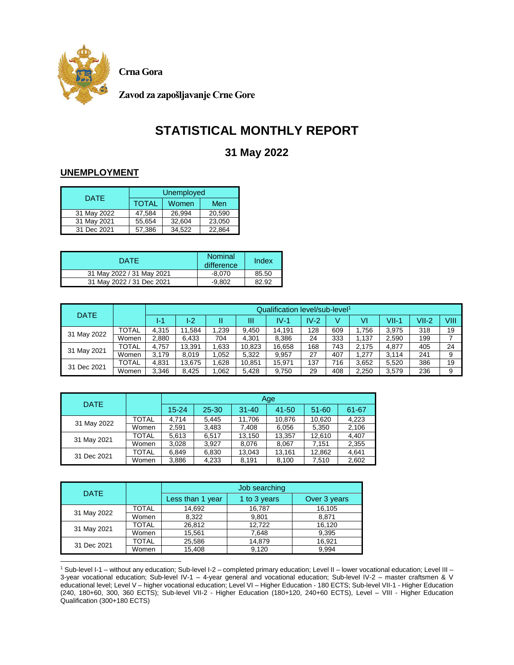

**Crna Gora**

**Zavod za zapošljavanje Crne Gore**

# **STATISTICAL MONTHLY REPORT**

## **31 May 2022**

### **UNEMPLOYMENT**

| <b>DATE</b> | Unemployed   |        |        |  |  |  |  |
|-------------|--------------|--------|--------|--|--|--|--|
|             | <b>TOTAL</b> | Women  | Men    |  |  |  |  |
| 31 May 2022 | 47.584       | 26.994 | 20.590 |  |  |  |  |
| 31 May 2021 | 55.654       | 32.604 | 23,050 |  |  |  |  |
| 31 Dec 2021 | 57.386       | 34.522 | 22.864 |  |  |  |  |

| <b>DATE</b>               | Nominal<br>difference | Index |
|---------------------------|-----------------------|-------|
| 31 May 2022 / 31 May 2021 | $-8.070$              | 85.50 |
| 31 May 2022 / 31 Dec 2021 | $-9.802$              | 82.92 |

| <b>DATE</b> |              |       | Qualification level/sub-level <sup>1</sup> |       |        |        |        |     |       |         |         |      |  |
|-------------|--------------|-------|--------------------------------------------|-------|--------|--------|--------|-----|-------|---------|---------|------|--|
|             |              | 4-1   | I-2                                        | 11    | Ш      | $IV-1$ | $IV-2$ |     | VI    | $VII-1$ | $VII-2$ | VIII |  |
|             | <b>TOTAL</b> | 4.315 | 11.584                                     | 1,239 | 9.450  | 14.191 | 128    | 609 | 1.756 | 3.975   | 318     | 19   |  |
| 31 May 2022 | Women        | 2,880 | 6,433                                      | 704   | 4.301  | 8,386  | 24     | 333 | 1.137 | 2,590   | 199     | ⇁    |  |
| 31 May 2021 | TOTAL        | 4.757 | 13.391                                     | .633  | 10,823 | 16,658 | 168    | 743 | 2.175 | 4.877   | 405     | 24   |  |
|             | Women        | 3.179 | 8.019                                      | .052  | 5,322  | 9,957  | 27     | 407 | 1.277 | 3.114   | 241     | 9    |  |
| 31 Dec 2021 | <b>TOTAL</b> | 4,831 | 13.675                                     | .628  | 10,851 | 15,971 | 137    | 716 | 3.652 | 5,520   | 386     | 19   |  |
|             | Women        | 3,346 | 8.425                                      | .062  | 5,428  | 9,750  | 29     | 408 | 2.250 | 3,579   | 236     | 9    |  |

| <b>DATE</b> |       |           |       |           | Age    |           |       |
|-------------|-------|-----------|-------|-----------|--------|-----------|-------|
|             |       | $15 - 24$ | 25-30 | $31 - 40$ | 41-50  | $51 - 60$ | 61-67 |
| 31 May 2022 | TOTAL | 4.714     | 5,445 | 11,706    | 10,876 | 10,620    | 4.223 |
|             | Women | 2,591     | 3,483 | 7,408     | 6,056  | 5,350     | 2,106 |
|             | TOTAL | 5,613     | 6.517 | 13,150    | 13,357 | 12.610    | 4,407 |
| 31 May 2021 | Women | 3,028     | 3.927 | 8,076     | 8,067  | 7,151     | 2,355 |
| 31 Dec 2021 | TOTAL | 6,849     | 6,830 | 13,043    | 13,161 | 12,862    | 4,641 |
|             | Women | 3,886     | 4,233 | 8,191     | 8,100  | 7.510     | 2,602 |

|             | <b>DATE</b>  |                  | Job searching |              |  |  |  |  |  |
|-------------|--------------|------------------|---------------|--------------|--|--|--|--|--|
|             |              | Less than 1 year | 1 to 3 years  | Over 3 years |  |  |  |  |  |
| 31 May 2022 | <b>TOTAL</b> | 14,692           | 16,787        | 16,105       |  |  |  |  |  |
|             | Women        | 8,322            | 9,801         | 8,871        |  |  |  |  |  |
|             | <b>TOTAL</b> | 26,812           | 12,722        | 16,120       |  |  |  |  |  |
| 31 May 2021 | Women        | 15,561           | 7,648         | 9,395        |  |  |  |  |  |
| 31 Dec 2021 | <b>TOTAL</b> | 25,586           | 14,879        | 16,921       |  |  |  |  |  |
|             | Women        | 15,408           | 9.120         | 9,994        |  |  |  |  |  |

 $\overline{\phantom{a}}$ <sup>1</sup> Sub-level I-1 – without any education; Sub-level I-2 – completed primary education; Level II – lower vocational education; Level III – 3-year vocational education; Sub-level IV-1 – 4-year general and vocational education; Sub-level IV-2 – master craftsmen & V educational level; Level V – higher vocational education; Level VI – Higher Education - 180 ECTS; Sub-level VII-1 - Higher Education (240, 180+60, 300, 360 ECTS); Sub-level VII-2 - Higher Education (180+120, 240+60 ECTS), Level – VIII - Higher Education Qualification (300+180 ECTS)